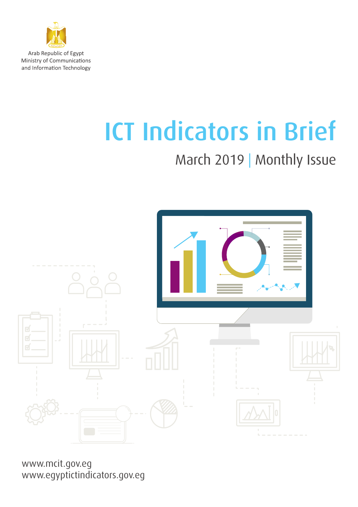

Arab Republic of Egypt Ministry of Communications and Information Technology

# ICT Indicators in Brief

## March 2019 | Monthly Issue



www.mcit.gov.eg www.egyptictindicators.gov.eg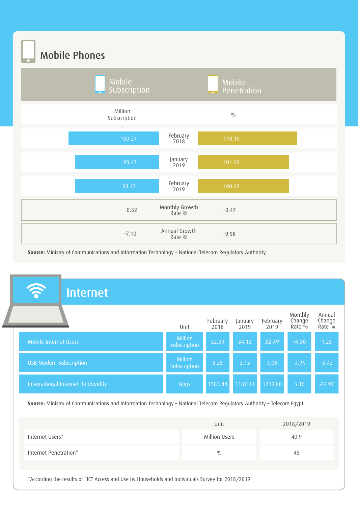Mobile Phones



**Source:** Ministry of Communications and Information Technology – National Telecom Regulatory Authority

| Monthly<br>Change<br>February<br>February<br>January<br>Rate <sup>0</sup> %<br>Unit<br>2019<br>2019<br>2018<br>Million<br>Mobile Internet Users<br>32.09<br>32.49<br>34.13<br>$-4.80$<br>Subscription<br>Million<br><b>USB Modem Subscription</b><br>3.08<br>3.25<br>$-2.25$<br>3.15<br>Subscription<br>International Internet Bandwidth<br>1583.44<br>1182.44<br>1219.80<br>Gbps<br>3.16<br>Source: Ministry of Communications and Information Technology - National Telecom Regulatory Authority - Telecom Egypt<br>2018/2019<br>Unit<br><b>Million Users</b><br>40.9<br>0/0<br>48 | <u>ลิ</u><br><b>Internet</b> |  |  |  |  |  |                                          |  |
|--------------------------------------------------------------------------------------------------------------------------------------------------------------------------------------------------------------------------------------------------------------------------------------------------------------------------------------------------------------------------------------------------------------------------------------------------------------------------------------------------------------------------------------------------------------------------------------|------------------------------|--|--|--|--|--|------------------------------------------|--|
| Internet Users*<br>Internet Penetration*                                                                                                                                                                                                                                                                                                                                                                                                                                                                                                                                             |                              |  |  |  |  |  | Annual<br>Change<br>Rate <sup>0</sup> /0 |  |
|                                                                                                                                                                                                                                                                                                                                                                                                                                                                                                                                                                                      |                              |  |  |  |  |  | 1.25                                     |  |
|                                                                                                                                                                                                                                                                                                                                                                                                                                                                                                                                                                                      |                              |  |  |  |  |  | $-5.43$                                  |  |
|                                                                                                                                                                                                                                                                                                                                                                                                                                                                                                                                                                                      |                              |  |  |  |  |  | $-22.97$                                 |  |
|                                                                                                                                                                                                                                                                                                                                                                                                                                                                                                                                                                                      |                              |  |  |  |  |  |                                          |  |
|                                                                                                                                                                                                                                                                                                                                                                                                                                                                                                                                                                                      |                              |  |  |  |  |  |                                          |  |
|                                                                                                                                                                                                                                                                                                                                                                                                                                                                                                                                                                                      |                              |  |  |  |  |  |                                          |  |
|                                                                                                                                                                                                                                                                                                                                                                                                                                                                                                                                                                                      |                              |  |  |  |  |  |                                          |  |

\*According the results of "ICT Access and Use by Households and Individuals Survey for 2018/2019"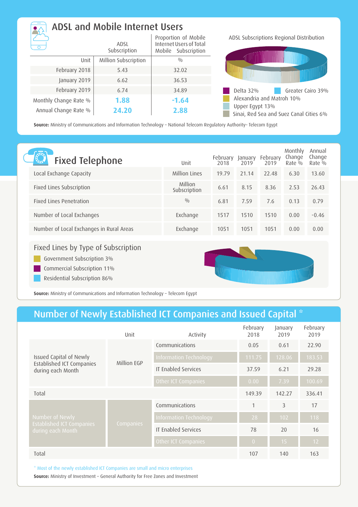| ADSL and Mobile Internet Users |                      |                                                                        |  |  |  |
|--------------------------------|----------------------|------------------------------------------------------------------------|--|--|--|
|                                | ADSL<br>Subscription | Proportion of Mobile<br>Internet Users of Total<br>Mobile Subscription |  |  |  |
| Unit                           | Million Subscription | 0/0                                                                    |  |  |  |
| February 2018                  | 5.43                 | 32.02                                                                  |  |  |  |
| January 2019                   | 6.62                 | 36.53                                                                  |  |  |  |
| February 2019                  | 6.74                 | 34.89                                                                  |  |  |  |
| Monthly Change Rate %          | 1.88                 | $-1.64$                                                                |  |  |  |
| Annual Change Rate %           | 24.20                | 2.88                                                                   |  |  |  |

ADSL Subscriptions Regional Distribution



**Source:** Ministry of Communications and Information Technology – National Telecom Regulatory Authority– Telecom Egypt

| <b>Fixed Telephone</b>                   | Unit                    | February<br>2018 | January<br>2019 | February<br>2019 | Monthly<br>Change<br>$Rate\%$ | Annual<br>Change<br>Rate $\%$ |
|------------------------------------------|-------------------------|------------------|-----------------|------------------|-------------------------------|-------------------------------|
| Local Exchange Capacity                  | Million Lines           | 19.79            | 21.14           | 22.48            | 6.30                          | 13.60                         |
| Fixed Lines Subscription                 | Million<br>Subscription | 6.61             | 8.15            | 8.36             | 2.53                          | 26.43                         |
| <b>Fixed Lines Penetration</b>           | 0/0                     | 6.81             | 7.59            | 7.6              | 0.13                          | 0.79                          |
| Number of Local Exchanges                | Exchange                | 1517             | 1510            | 1510             | 0.00                          | $-0.46$                       |
| Number of Local Exchanges in Rural Areas | Exchange                | 1051             | 1051            | 1051             | 0.00                          | 0.00                          |
|                                          |                         |                  |                 |                  |                               |                               |

#### Fixed Lines by Type of Subscription

Government Subscription 3%

Commercial Subscription 11%

Residential Subscription 86%



**Source:** Ministry of Communications and Information Technology – Telecom Egypt

### Number of Newly Established ICT Companies and Issued Capital \*

|                                                       | Unit        | Activity                   | February<br>2018 | January<br>2019 | February<br>2019 |
|-------------------------------------------------------|-------------|----------------------------|------------------|-----------------|------------------|
|                                                       |             | Communications             | 0.05             | 0.61            | 22.90            |
| Issued Capital of Newly                               | Million EGP | Information Technology     | 111.75           | 128.06          | 183.53           |
| Established ICT Companies<br>during each Month        |             | <b>IT Enabled Services</b> | 37.59            | 6.21            | 29.28            |
|                                                       |             | Other ICT Companies        | 0.00             | 7.39            | 100.69           |
| Total                                                 |             |                            | 149.39           | 142.27          | 336.41           |
|                                                       |             | Communications             | $\mathbf{1}$     | 3               | 17               |
| Number of Newly                                       |             | Information Technology     | 28               | 102             | 118              |
| <b>Established ICT Companies</b><br>during each Month | Companies   | <b>IT Enabled Services</b> | 78               | 20              | 16               |
|                                                       |             | Other ICT Companies        | $\overline{0}$   | 15              | 12               |
| Total                                                 |             |                            | 107              | 140             | 163              |

\* Most of the newly established ICT Companies are small and micro enterprises

**Source:** Ministry of Investment – General Authority for Free Zones and Investment